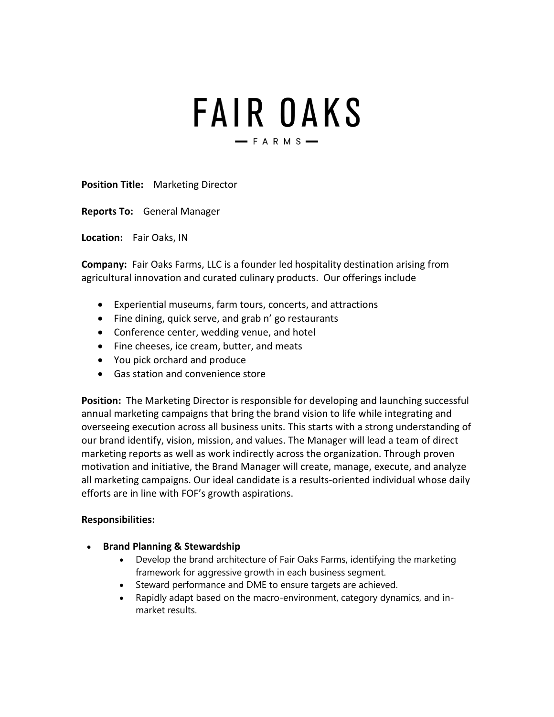# FAIR OAKS  $-$ FARMS $-$

**Position Title:** Marketing Director

**Reports To:** General Manager

**Location:** Fair Oaks, IN

**Company:** Fair Oaks Farms, LLC is a founder led hospitality destination arising from agricultural innovation and curated culinary products. Our offerings include

- Experiential museums, farm tours, concerts, and attractions
- Fine dining, quick serve, and grab n' go restaurants
- Conference center, wedding venue, and hotel
- Fine cheeses, ice cream, butter, and meats
- You pick orchard and produce
- Gas station and convenience store

**Position:** The Marketing Director is responsible for developing and launching successful annual marketing campaigns that bring the brand vision to life while integrating and overseeing execution across all business units. This starts with a strong understanding of our brand identify, vision, mission, and values. The Manager will lead a team of direct marketing reports as well as work indirectly across the organization. Through proven motivation and initiative, the Brand Manager will create, manage, execute, and analyze all marketing campaigns. Our ideal candidate is a results-oriented individual whose daily efforts are in line with FOF's growth aspirations.

#### **Responsibilities:**

- **Brand Planning & Stewardship**
	- Develop the brand architecture of Fair Oaks Farms, identifying the marketing framework for aggressive growth in each business segment.
	- Steward performance and DME to ensure targets are achieved.
	- Rapidly adapt based on the macro-environment, category dynamics, and inmarket results.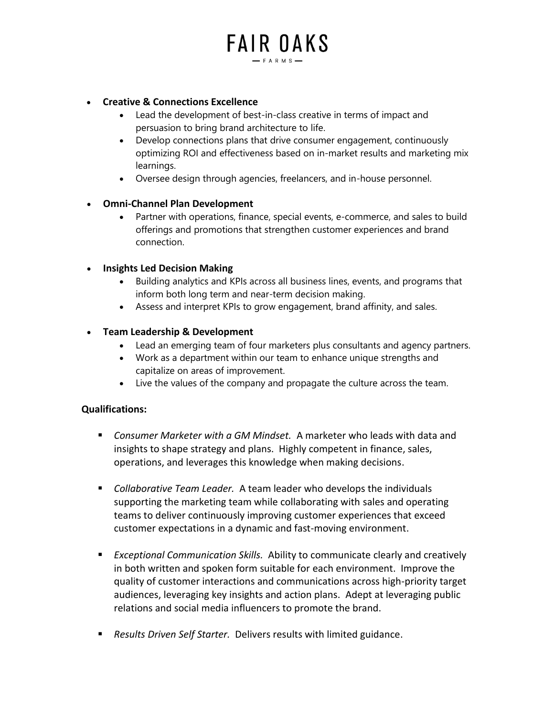# **FAIR OAKS**  $-$  FARMS-

#### • **Creative & Connections Excellence**

- Lead the development of best-in-class creative in terms of impact and persuasion to bring brand architecture to life.
- Develop connections plans that drive consumer engagement, continuously optimizing ROI and effectiveness based on in-market results and marketing mix learnings.
- Oversee design through agencies, freelancers, and in-house personnel.

#### • **Omni-Channel Plan Development**

• Partner with operations, finance, special events, e-commerce, and sales to build offerings and promotions that strengthen customer experiences and brand connection.

## • **Insights Led Decision Making**

- Building analytics and KPIs across all business lines, events, and programs that inform both long term and near-term decision making.
- Assess and interpret KPIs to grow engagement, brand affinity, and sales.

## • **Team Leadership & Development**

- Lead an emerging team of four marketers plus consultants and agency partners.
- Work as a department within our team to enhance unique strengths and capitalize on areas of improvement.
- Live the values of the company and propagate the culture across the team.

#### **Qualifications:**

- *Consumer Marketer with a GM Mindset.* A marketer who leads with data and insights to shape strategy and plans. Highly competent in finance, sales, operations, and leverages this knowledge when making decisions.
- *Collaborative Team Leader.* A team leader who develops the individuals supporting the marketing team while collaborating with sales and operating teams to deliver continuously improving customer experiences that exceed customer expectations in a dynamic and fast-moving environment.
- *Exceptional Communication Skills.* Ability to communicate clearly and creatively in both written and spoken form suitable for each environment. Improve the quality of customer interactions and communications across high-priority target audiences, leveraging key insights and action plans. Adept at leveraging public relations and social media influencers to promote the brand.
- *Results Driven Self Starter.* Delivers results with limited guidance.